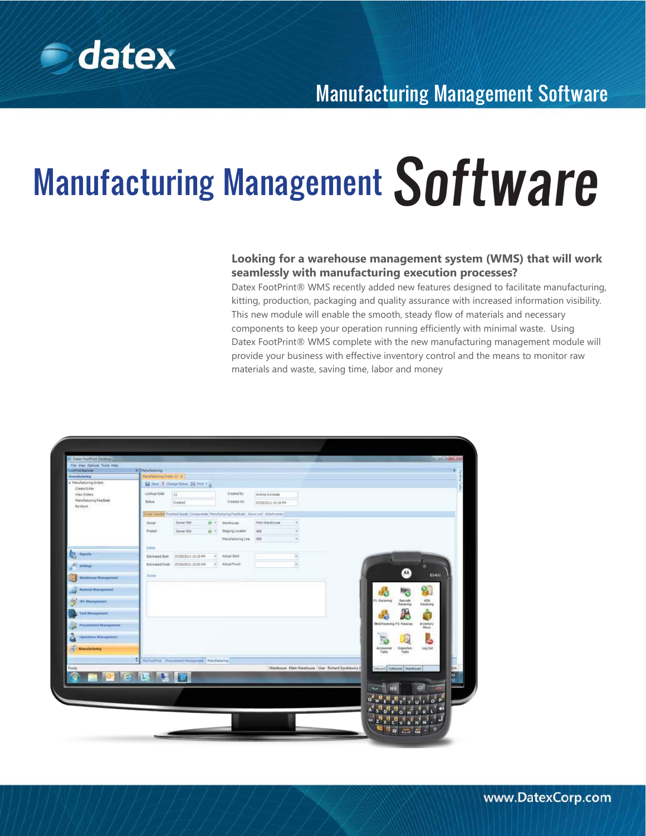

# Manufacturing Management Software

### **Looking for a warehouse management system (WMS) that will work seamlessly with manufacturing execution processes?**

Datex FootPrint® WMS recently added new features designed to facilitate manufacturing, kitting, production, packaging and quality assurance with increased information visibility. This new module will enable the smooth, steady flow of materials and necessary components to keep your operation running efficiently with minimal waste. Using Datex FootPrint® WMS complete with the new manufacturing management module will provide your business with effective inventory control and the means to monitor raw materials and waste, saving time, labor and money

| P Datex FootPrint Desktop    |                                       |                                                                                         |              |                    |                       |        |                                                         |                             |                                          | <b>ICHILMS</b> |
|------------------------------|---------------------------------------|-----------------------------------------------------------------------------------------|--------------|--------------------|-----------------------|--------|---------------------------------------------------------|-----------------------------|------------------------------------------|----------------|
| Für View Opbors Tools Hield  |                                       |                                                                                         |              |                    |                       |        |                                                         |                             |                                          |                |
| commet Explorer              | a [Handwormg]                         |                                                                                         |              |                    |                       |        |                                                         |                             |                                          |                |
| Manufacturing                | Manufacturing Order 11 'or            |                                                                                         |              |                    |                       |        |                                                         |                             |                                          |                |
| a Manufacturing Orders       | El Seis 1 Ossigi Satus (R) Prot + (J) |                                                                                         |              |                    |                       |        |                                                         |                             |                                          |                |
| Creste Driter<br>View Orders | Listing Code                          | 111                                                                                     |              | Created Ify        | Andrea Gonzaler       |        |                                                         |                             |                                          |                |
| Manufacturing Feedbade       |                                       |                                                                                         |              |                    |                       |        |                                                         |                             |                                          |                |
| Re-Work                      | <b>Matus:</b>                         | Created                                                                                 |              | Crested Dr.        | 07/25/2011 10:38 PM   |        |                                                         |                             |                                          |                |
| --                           |                                       | Order Header, Finlated Goods Components: Hansfacturing Feedback, Wave Lief, Attachments |              |                    |                       |        |                                                         |                             |                                          |                |
|                              | Overer                                | Gwner 50E                                                                               | ø.<br>$\sim$ | Watshours:         | <b>Main Warehouse</b> | $\pi$  |                                                         |                             |                                          |                |
|                              | Pittelli                              | Dynar \$88                                                                              | 设计           | Staging Location   | 388                   | ¥      |                                                         |                             |                                          |                |
|                              |                                       |                                                                                         |              | Manufacturing Line | 188                   | ٠      |                                                         |                             |                                          |                |
|                              | Detet                                 |                                                                                         |              |                    |                       |        |                                                         |                             |                                          |                |
| Reports                      | Estimated Start                       | 67/25/2011 10:19 PM                                                                     | $\sim$       | Arbuil Start       |                       | $\sim$ |                                                         |                             |                                          |                |
| Settlempt                    | Estimated Finish                      | 07/26/2011 12:00 AM                                                                     |              | o Artual Fields    |                       |        |                                                         |                             |                                          |                |
| Warrhouse Management         | National                              |                                                                                         |              |                    |                       |        |                                                         |                             | E5400                                    |                |
| <b>Material Management</b>   |                                       |                                                                                         |              |                    |                       |        |                                                         |                             | $\mathbf{Q}_\mathrm{p}$                  |                |
| 3FL Management               |                                       |                                                                                         |              |                    |                       |        |                                                         | FL: Receiving               | ASN<br>Barcode<br>Receiving<br>Receiving |                |
| <b>Tool Massagement</b>      |                                       |                                                                                         |              |                    |                       |        |                                                         | n                           |                                          |                |
| <b>Procurated Management</b> |                                       |                                                                                         |              |                    |                       |        |                                                         | Bind Receiving P.S. Putaman | <b>Inventory</b><br>Nove                 |                |
| Operations Management        |                                       |                                                                                         |              |                    |                       |        |                                                         |                             |                                          |                |
| <b>Wanafacturing</b>         |                                       |                                                                                         |              |                    |                       |        |                                                         | Accessorial<br>Tade         | <b>Inspection</b><br>log Out<br>Tasks:   |                |
|                              | ę                                     | Hy Find Film Recurrent Natagement   Manufacturing                                       |              |                    |                       |        |                                                         |                             |                                          |                |
| <b>Tissdy</b>                |                                       |                                                                                         |              |                    |                       |        | Warehouse Main Werehouse   User Richard Stynkiewicz (I) |                             | Inboard   Outbound   Warehouse           |                |
|                              |                                       |                                                                                         |              |                    |                       |        |                                                         |                             |                                          | Ŧ              |
|                              | <b>CISS</b>                           |                                                                                         |              |                    |                       |        |                                                         |                             |                                          |                |
|                              |                                       |                                                                                         |              |                    |                       |        |                                                         |                             |                                          |                |
|                              |                                       |                                                                                         |              |                    |                       |        |                                                         |                             |                                          |                |
|                              |                                       |                                                                                         |              |                    |                       |        |                                                         |                             |                                          |                |
|                              |                                       |                                                                                         |              |                    |                       |        |                                                         |                             |                                          |                |
|                              |                                       |                                                                                         |              |                    |                       |        |                                                         |                             |                                          |                |
|                              |                                       |                                                                                         |              |                    |                       |        |                                                         |                             |                                          |                |
|                              |                                       |                                                                                         |              |                    |                       |        |                                                         |                             |                                          |                |